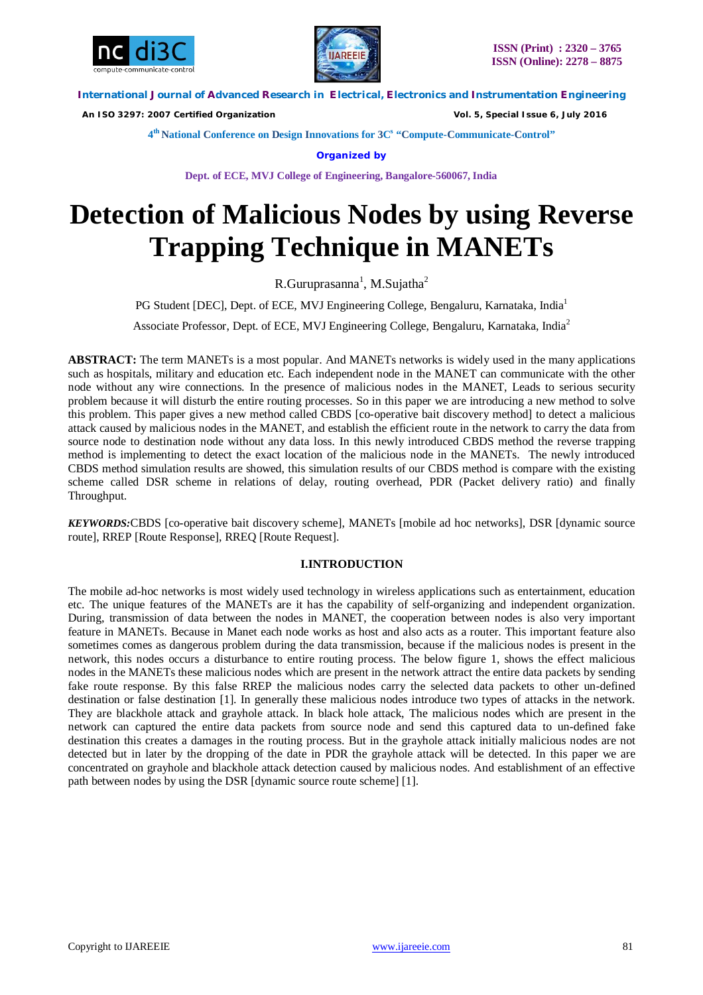



 *An ISO 3297: 2007 Certified Organization Vol. 5, Special Issue 6, July 2016*

**4 th National Conference on Design Innovations for 3C s "Compute-Communicate-Control"** 

**Organized by**

**Dept. of ECE, MVJ College of Engineering, Bangalore-560067, India**

# **Detection of Malicious Nodes by using Reverse Trapping Technique in MANETs**

R.Guruprasanna<sup>1</sup>, M.Sujatha<sup>2</sup>

PG Student [DEC], Dept. of ECE, MVJ Engineering College, Bengaluru, Karnataka, India<sup>1</sup>

Associate Professor, Dept. of ECE, MVJ Engineering College, Bengaluru, Karnataka, India<sup>2</sup>

**ABSTRACT:** The term MANETs is a most popular. And MANETs networks is widely used in the many applications such as hospitals, military and education etc. Each independent node in the MANET can communicate with the other node without any wire connections. In the presence of malicious nodes in the MANET, Leads to serious security problem because it will disturb the entire routing processes. So in this paper we are introducing a new method to solve this problem. This paper gives a new method called CBDS [co-operative bait discovery method] to detect a malicious attack caused by malicious nodes in the MANET, and establish the efficient route in the network to carry the data from source node to destination node without any data loss. In this newly introduced CBDS method the reverse trapping method is implementing to detect the exact location of the malicious node in the MANETs. The newly introduced CBDS method simulation results are showed, this simulation results of our CBDS method is compare with the existing scheme called DSR scheme in relations of delay, routing overhead, PDR (Packet delivery ratio) and finally Throughput.

*KEYWORDS:*CBDS [co-operative bait discovery scheme], MANETs [mobile ad hoc networks], DSR [dynamic source route], RREP [Route Response], RREQ [Route Request].

## **I.INTRODUCTION**

The mobile ad-hoc networks is most widely used technology in wireless applications such as entertainment, education etc. The unique features of the MANETs are it has the capability of self-organizing and independent organization. During, transmission of data between the nodes in MANET, the cooperation between nodes is also very important feature in MANETs. Because in Manet each node works as host and also acts as a router. This important feature also sometimes comes as dangerous problem during the data transmission, because if the malicious nodes is present in the network, this nodes occurs a disturbance to entire routing process. The below figure 1, shows the effect malicious nodes in the MANETs these malicious nodes which are present in the network attract the entire data packets by sending fake route response. By this false RREP the malicious nodes carry the selected data packets to other un-defined destination or false destination [1]. In generally these malicious nodes introduce two types of attacks in the network. They are blackhole attack and grayhole attack. In black hole attack, The malicious nodes which are present in the network can captured the entire data packets from source node and send this captured data to un-defined fake destination this creates a damages in the routing process. But in the grayhole attack initially malicious nodes are not detected but in later by the dropping of the date in PDR the grayhole attack will be detected. In this paper we are concentrated on grayhole and blackhole attack detection caused by malicious nodes. And establishment of an effective path between nodes by using the DSR [dynamic source route scheme] [1].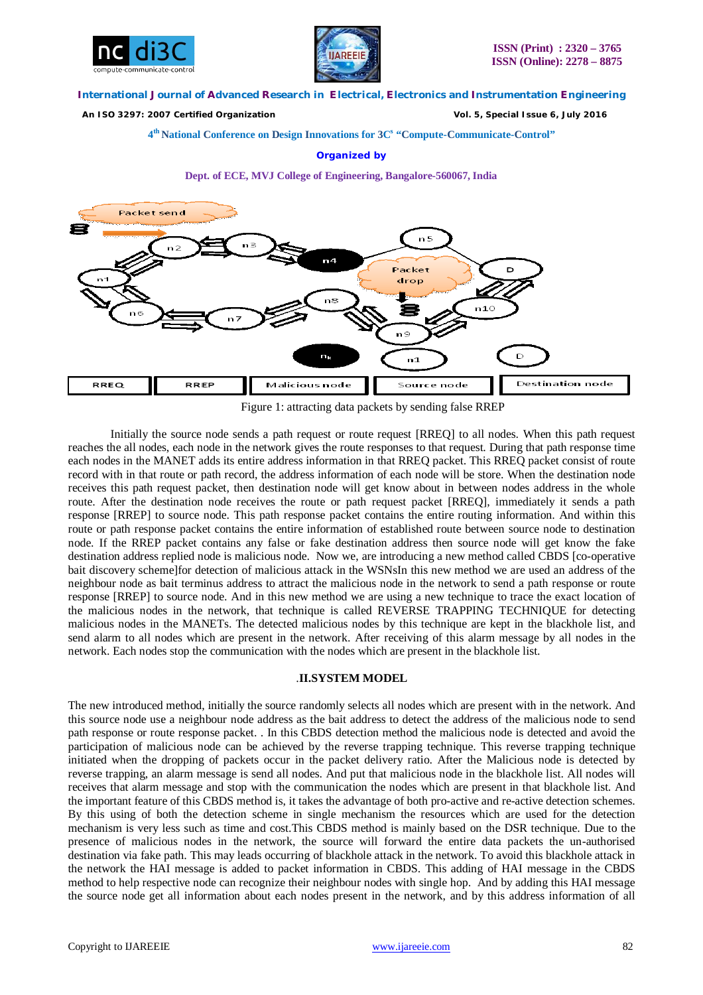



 *An ISO 3297: 2007 Certified Organization Vol. 5, Special Issue 6, July 2016*

**4 th National Conference on Design Innovations for 3C s "Compute-Communicate-Control"** 

#### **Organized by**

**Dept. of ECE, MVJ College of Engineering, Bangalore-560067, India**



Figure 1: attracting data packets by sending false RREP

Initially the source node sends a path request or route request [RREQ] to all nodes. When this path request reaches the all nodes, each node in the network gives the route responses to that request. During that path response time each nodes in the MANET adds its entire address information in that RREQ packet. This RREQ packet consist of route record with in that route or path record, the address information of each node will be store. When the destination node receives this path request packet, then destination node will get know about in between nodes address in the whole route. After the destination node receives the route or path request packet [RREQ], immediately it sends a path response [RREP] to source node. This path response packet contains the entire routing information. And within this route or path response packet contains the entire information of established route between source node to destination node. If the RREP packet contains any false or fake destination address then source node will get know the fake destination address replied node is malicious node. Now we, are introducing a new method called CBDS [co-operative bait discovery scheme]for detection of malicious attack in the WSNsIn this new method we are used an address of the neighbour node as bait terminus address to attract the malicious node in the network to send a path response or route response [RREP] to source node. And in this new method we are using a new technique to trace the exact location of the malicious nodes in the network, that technique is called REVERSE TRAPPING TECHNIQUE for detecting malicious nodes in the MANETs. The detected malicious nodes by this technique are kept in the blackhole list, and send alarm to all nodes which are present in the network. After receiving of this alarm message by all nodes in the network. Each nodes stop the communication with the nodes which are present in the blackhole list.

## .**II.SYSTEM MODEL**

The new introduced method, initially the source randomly selects all nodes which are present with in the network. And this source node use a neighbour node address as the bait address to detect the address of the malicious node to send path response or route response packet. . In this CBDS detection method the malicious node is detected and avoid the participation of malicious node can be achieved by the reverse trapping technique. This reverse trapping technique initiated when the dropping of packets occur in the packet delivery ratio. After the Malicious node is detected by reverse trapping, an alarm message is send all nodes. And put that malicious node in the blackhole list. All nodes will receives that alarm message and stop with the communication the nodes which are present in that blackhole list. And the important feature of this CBDS method is, it takes the advantage of both pro-active and re-active detection schemes. By this using of both the detection scheme in single mechanism the resources which are used for the detection mechanism is very less such as time and cost.This CBDS method is mainly based on the DSR technique. Due to the presence of malicious nodes in the network, the source will forward the entire data packets the un-authorised destination via fake path. This may leads occurring of blackhole attack in the network. To avoid this blackhole attack in the network the HAI message is added to packet information in CBDS. This adding of HAI message in the CBDS method to help respective node can recognize their neighbour nodes with single hop. And by adding this HAI message the source node get all information about each nodes present in the network, and by this address information of all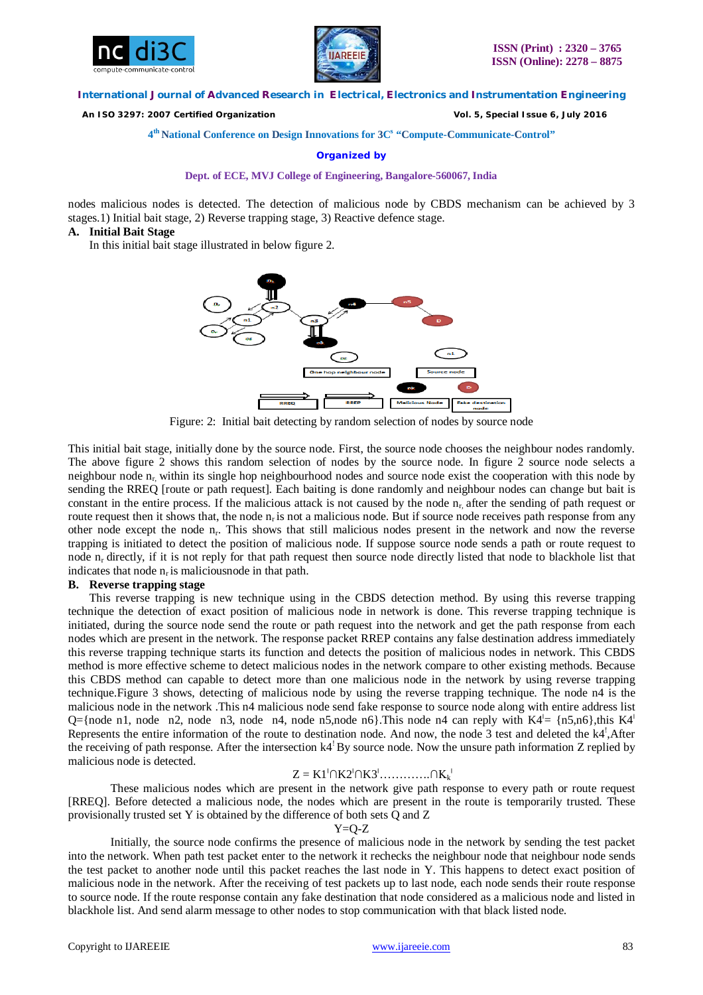



 *An ISO 3297: 2007 Certified Organization Vol. 5, Special Issue 6, July 2016*

## **4 th National Conference on Design Innovations for 3C s "Compute-Communicate-Control"**

**Organized by**

#### **Dept. of ECE, MVJ College of Engineering, Bangalore-560067, India**

nodes malicious nodes is detected. The detection of malicious node by CBDS mechanism can be achieved by 3 stages.1) Initial bait stage, 2) Reverse trapping stage, 3) Reactive defence stage.

#### **A. Initial Bait Stage**

In this initial bait stage illustrated in below figure 2.



Figure: 2: Initial bait detecting by random selection of nodes by source node

This initial bait stage, initially done by the source node. First, the source node chooses the neighbour nodes randomly. The above figure 2 shows this random selection of nodes by the source node. In figure 2 source node selects a neighbour node  $n_r$ , within its single hop neighbourhood nodes and source node exist the cooperation with this node by sending the RREQ [route or path request]. Each baiting is done randomly and neighbour nodes can change but bait is constant in the entire process. If the malicious attack is not caused by the node  $n<sub>r</sub>$ , after the sending of path request or route request then it shows that, the node  $n_r$  is not a malicious node. But if source node receives path response from any other node except the node  $n_r$ . This shows that still malicious nodes present in the network and now the reverse trapping is initiated to detect the position of malicious node. If suppose source node sends a path or route request to node  $n_r$  directly, if it is not reply for that path request then source node directly listed that node to blackhole list that indicates that node  $n_r$  is malicious node in that path.

#### **B. Reverse trapping stage**

This reverse trapping is new technique using in the CBDS detection method. By using this reverse trapping technique the detection of exact position of malicious node in network is done. This reverse trapping technique is initiated, during the source node send the route or path request into the network and get the path response from each nodes which are present in the network. The response packet RREP contains any false destination address immediately this reverse trapping technique starts its function and detects the position of malicious nodes in network. This CBDS method is more effective scheme to detect malicious nodes in the network compare to other existing methods. Because this CBDS method can capable to detect more than one malicious node in the network by using reverse trapping technique.Figure 3 shows, detecting of malicious node by using the reverse trapping technique. The node n4 is the malicious node in the network .This n4 malicious node send fake response to source node along with entire address list Q={node n1, node n2, node n3, node n4, node n5, node n6}. This node n4 can reply with  $K4^{\perp} = \{n5, n6\}$ , this  $K4^{\perp}$ Represents the entire information of the route to destination node. And now, the node 3 test and deleted the k4<sup>1</sup>, After the receiving of path response. After the intersection  $k4^{\dagger}$ By source node. Now the unsure path information Z replied by malicious node is detected.

# $Z = K1^{\dagger} \cap K2^{\dagger} \cap K3^{\dagger} \dots \dots \dots \dots \cap K_{k}^{\dagger}$

These malicious nodes which are present in the network give path response to every path or route request [RREQ]. Before detected a malicious node, the nodes which are present in the route is temporarily trusted. These provisionally trusted set Y is obtained by the difference of both sets Q and Z

#### $Y=O-Z$

Initially, the source node confirms the presence of malicious node in the network by sending the test packet into the network. When path test packet enter to the network it rechecks the neighbour node that neighbour node sends the test packet to another node until this packet reaches the last node in Y. This happens to detect exact position of malicious node in the network. After the receiving of test packets up to last node, each node sends their route response to source node. If the route response contain any fake destination that node considered as a malicious node and listed in blackhole list. And send alarm message to other nodes to stop communication with that black listed node.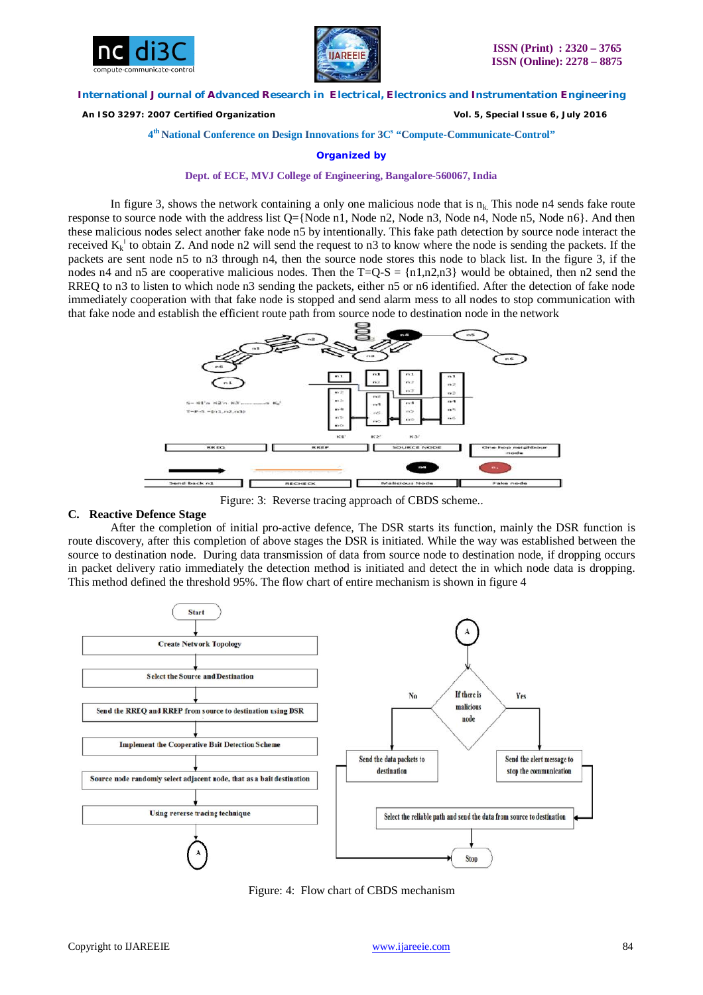



 *An ISO 3297: 2007 Certified Organization Vol. 5, Special Issue 6, July 2016*

**4 th National Conference on Design Innovations for 3C s "Compute-Communicate-Control"** 

**Organized by**

## **Dept. of ECE, MVJ College of Engineering, Bangalore-560067, India**

In figure 3, shows the network containing a only one malicious node that is  $n_k$ . This node n4 sends fake route response to source node with the address list Q={Node n1, Node n2, Node n3, Node n4, Node n5, Node n6}. And then these malicious nodes select another fake node n5 by intentionally. This fake path detection by source node interact the received  $K_k^{\dagger}$  to obtain Z. And node n2 will send the request to n3 to know where the node is sending the packets. If the packets are sent node n5 to n3 through n4, then the source node stores this node to black list. In the figure 3, if the nodes n4 and n5 are cooperative malicious nodes. Then the  $T=Q-S = \{n1, n2, n3\}$  would be obtained, then n2 send the RREQ to n3 to listen to which node n3 sending the packets, either n5 or n6 identified. After the detection of fake node immediately cooperation with that fake node is stopped and send alarm mess to all nodes to stop communication with that fake node and establish the efficient route path from source node to destination node in the network



Figure: 3: Reverse tracing approach of CBDS scheme..

# **C. Reactive Defence Stage**

After the completion of initial pro-active defence, The DSR starts its function, mainly the DSR function is route discovery, after this completion of above stages the DSR is initiated. While the way was established between the source to destination node. During data transmission of data from source node to destination node, if dropping occurs in packet delivery ratio immediately the detection method is initiated and detect the in which node data is dropping. This method defined the threshold 95%. The flow chart of entire mechanism is shown in figure 4



Figure: 4: Flow chart of CBDS mechanism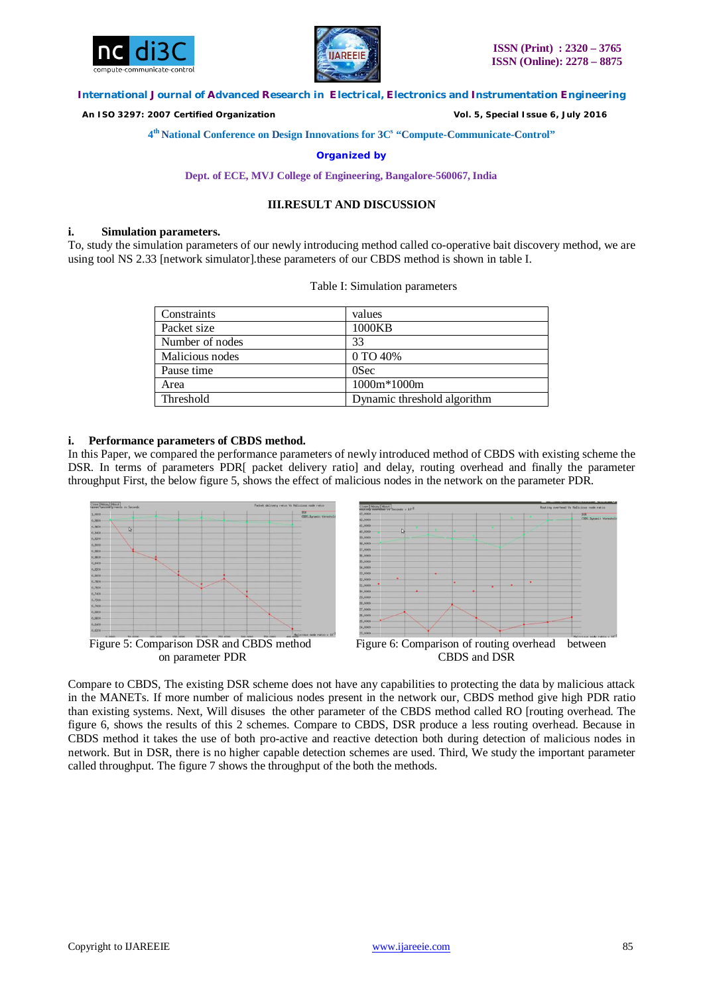



 *An ISO 3297: 2007 Certified Organization Vol. 5, Special Issue 6, July 2016*

**4 th National Conference on Design Innovations for 3C s "Compute-Communicate-Control"** 

**Organized by**

**Dept. of ECE, MVJ College of Engineering, Bangalore-560067, India**

## **III.RESULT AND DISCUSSION**

#### **i. Simulation parameters.**

To, study the simulation parameters of our newly introducing method called co-operative bait discovery method, we are using tool NS 2.33 [network simulator].these parameters of our CBDS method is shown in table I.

| Constraints     | values                      |
|-----------------|-----------------------------|
| Packet size     | 1000KB                      |
| Number of nodes | 33                          |
| Malicious nodes | 0 TO 40%                    |
| Pause time      | 0Sec                        |
| Area            | $1000m*1000m$               |
| Threshold       | Dynamic threshold algorithm |

Table I: Simulation parameters

#### **i. Performance parameters of CBDS method.**

In this Paper, we compared the performance parameters of newly introduced method of CBDS with existing scheme the DSR. In terms of parameters PDR[ packet delivery ratio] and delay, routing overhead and finally the parameter throughput First, the below figure 5, shows the effect of malicious nodes in the network on the parameter PDR.



Compare to CBDS, The existing DSR scheme does not have any capabilities to protecting the data by malicious attack in the MANETs. If more number of malicious nodes present in the network our, CBDS method give high PDR ratio than existing systems. Next, Will disuses the other parameter of the CBDS method called RO [routing overhead. The figure 6, shows the results of this 2 schemes. Compare to CBDS, DSR produce a less routing overhead. Because in CBDS method it takes the use of both pro-active and reactive detection both during detection of malicious nodes in network. But in DSR, there is no higher capable detection schemes are used. Third, We study the important parameter called throughput. The figure 7 shows the throughput of the both the methods.